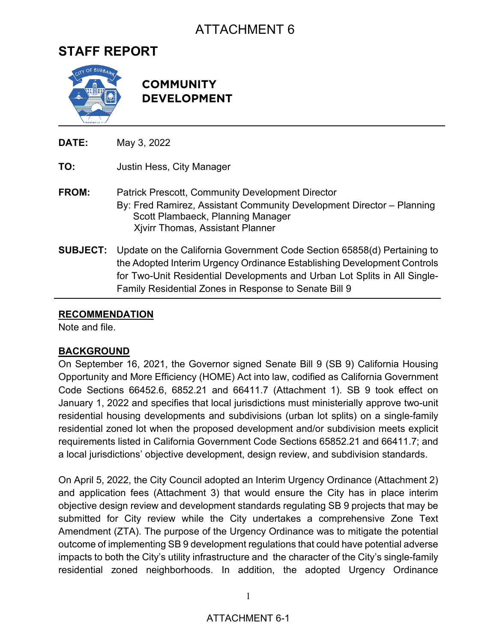# ATTACHMENT 6

## **STAFF REPORT**



**COMMUNITY DEVELOPMENT**

**DATE:** May 3, 2022 **TO:** Justin Hess, City Manager **FROM:** Patrick Prescott, Community Development Director By: Fred Ramirez, Assistant Community Development Director – Planning Scott Plambaeck, Planning Manager Xjvirr Thomas, Assistant Planner

**SUBJECT:** Update on the California Government Code Section 65858(d) Pertaining to the Adopted Interim Urgency Ordinance Establishing Development Controls for Two-Unit Residential Developments and Urban Lot Splits in All Single-Family Residential Zones in Response to Senate Bill 9

#### **RECOMMENDATION**

Note and file.

#### **BACKGROUND**

On September 16, 2021, the Governor signed Senate Bill 9 (SB 9) California Housing Opportunity and More Efficiency (HOME) Act into law, codified as California Government Code Sections 66452.6, 6852.21 and 66411.7 (Attachment 1). SB 9 took effect on January 1, 2022 and specifies that local jurisdictions must ministerially approve two-unit residential housing developments and subdivisions (urban lot splits) on a single-family residential zoned lot when the proposed development and/or subdivision meets explicit requirements listed in California Government Code Sections 65852.21 and 66411.7; and a local jurisdictions' objective development, design review, and subdivision standards.

On April 5, 2022, the City Council adopted an Interim Urgency Ordinance (Attachment 2) and application fees (Attachment 3) that would ensure the City has in place interim objective design review and development standards regulating SB 9 projects that may be submitted for City review while the City undertakes a comprehensive Zone Text Amendment (ZTA). The purpose of the Urgency Ordinance was to mitigate the potential outcome of implementing SB 9 development regulations that could have potential adverse impacts to both the City's utility infrastructure and the character of the City's single-family residential zoned neighborhoods. In addition, the adopted Urgency Ordinance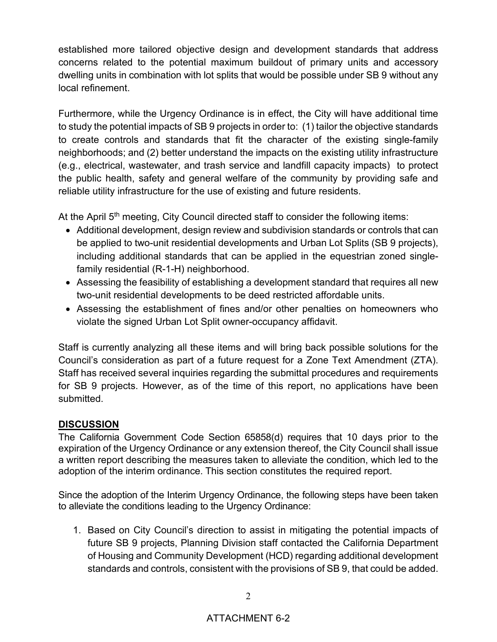established more tailored objective design and development standards that address concerns related to the potential maximum buildout of primary units and accessory dwelling units in combination with lot splits that would be possible under SB 9 without any local refinement.

Furthermore, while the Urgency Ordinance is in effect, the City will have additional time to study the potential impacts of SB 9 projects in order to: (1) tailor the objective standards to create controls and standards that fit the character of the existing single-family neighborhoods; and (2) better understand the impacts on the existing utility infrastructure (e.g., electrical, wastewater, and trash service and landfill capacity impacts) to protect the public health, safety and general welfare of the community by providing safe and reliable utility infrastructure for the use of existing and future residents.

At the April  $5<sup>th</sup>$  meeting, City Council directed staff to consider the following items:

- Additional development, design review and subdivision standards or controls that can be applied to two-unit residential developments and Urban Lot Splits (SB 9 projects), including additional standards that can be applied in the equestrian zoned singlefamily residential (R-1-H) neighborhood.
- Assessing the feasibility of establishing a development standard that requires all new two-unit residential developments to be deed restricted affordable units.
- Assessing the establishment of fines and/or other penalties on homeowners who violate the signed Urban Lot Split owner-occupancy affidavit.

Staff is currently analyzing all these items and will bring back possible solutions for the Council's consideration as part of a future request for a Zone Text Amendment (ZTA). Staff has received several inquiries regarding the submittal procedures and requirements for SB 9 projects. However, as of the time of this report, no applications have been submitted.

### **DISCUSSION**

The California Government Code Section 65858(d) requires that 10 days prior to the expiration of the Urgency Ordinance or any extension thereof, the City Council shall issue a written report describing the measures taken to alleviate the condition, which led to the adoption of the interim ordinance. This section constitutes the required report.

Since the adoption of the Interim Urgency Ordinance, the following steps have been taken to alleviate the conditions leading to the Urgency Ordinance:

1. Based on City Council's direction to assist in mitigating the potential impacts of future SB 9 projects, Planning Division staff contacted the California Department of Housing and Community Development (HCD) regarding additional development standards and controls, consistent with the provisions of SB 9, that could be added.

#### ATTACHMENT 6-2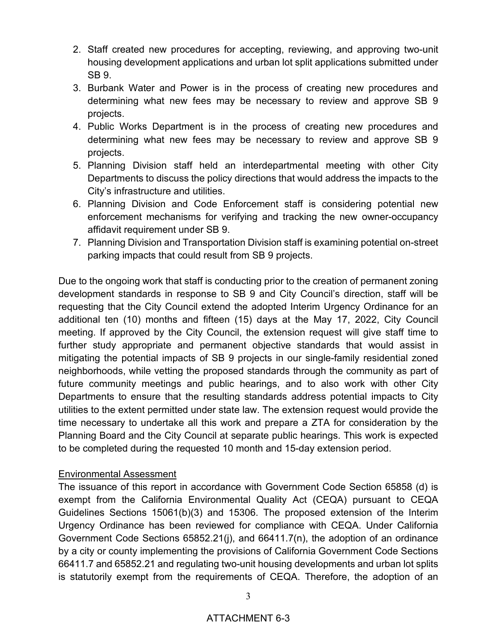- 2. Staff created new procedures for accepting, reviewing, and approving two-unit housing development applications and urban lot split applications submitted under SB 9.
- 3. Burbank Water and Power is in the process of creating new procedures and determining what new fees may be necessary to review and approve SB 9 projects.
- 4. Public Works Department is in the process of creating new procedures and determining what new fees may be necessary to review and approve SB 9 projects.
- 5. Planning Division staff held an interdepartmental meeting with other City Departments to discuss the policy directions that would address the impacts to the City's infrastructure and utilities.
- 6. Planning Division and Code Enforcement staff is considering potential new enforcement mechanisms for verifying and tracking the new owner-occupancy affidavit requirement under SB 9.
- 7. Planning Division and Transportation Division staff is examining potential on-street parking impacts that could result from SB 9 projects.

Due to the ongoing work that staff is conducting prior to the creation of permanent zoning development standards in response to SB 9 and City Council's direction, staff will be requesting that the City Council extend the adopted Interim Urgency Ordinance for an additional ten (10) months and fifteen (15) days at the May 17, 2022, City Council meeting. If approved by the City Council, the extension request will give staff time to further study appropriate and permanent objective standards that would assist in mitigating the potential impacts of SB 9 projects in our single-family residential zoned neighborhoods, while vetting the proposed standards through the community as part of future community meetings and public hearings, and to also work with other City Departments to ensure that the resulting standards address potential impacts to City utilities to the extent permitted under state law. The extension request would provide the time necessary to undertake all this work and prepare a ZTA for consideration by the Planning Board and the City Council at separate public hearings. This work is expected to be completed during the requested 10 month and 15-day extension period.

#### Environmental Assessment

The issuance of this report in accordance with Government Code Section 65858 (d) is exempt from the California Environmental Quality Act (CEQA) pursuant to CEQA Guidelines Sections 15061(b)(3) and 15306. The proposed extension of the Interim Urgency Ordinance has been reviewed for compliance with CEQA. Under California Government Code Sections 65852.21(j), and 66411.7(n), the adoption of an ordinance by a city or county implementing the provisions of California Government Code Sections 66411.7 and 65852.21 and regulating two-unit housing developments and urban lot splits is statutorily exempt from the requirements of CEQA. Therefore, the adoption of an